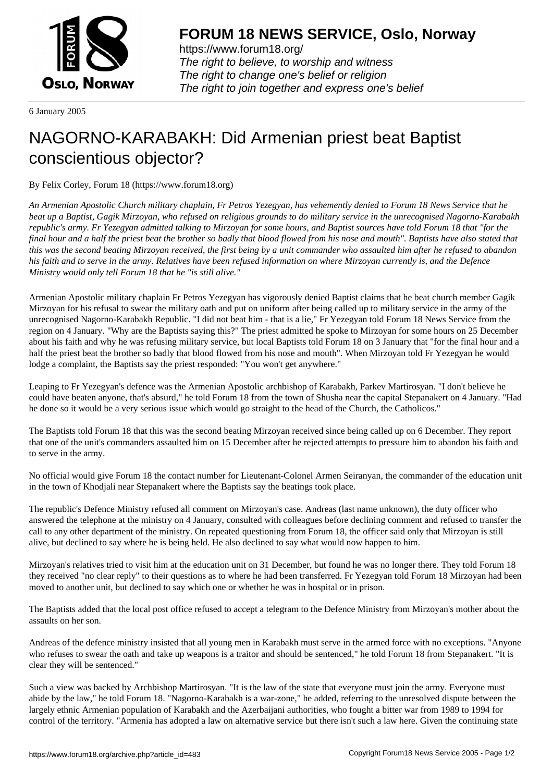

https://www.forum18.org/ The right to believe, to worship and witness The right to change one's belief or religion [The right to join together a](https://www.forum18.org/)nd express one's belief

6 January 2005

## [NAGORNO-KA](https://www.forum18.org)RABAKH: Did Armenian priest beat Baptist conscientious objector?

By Felix Corley, Forum 18 (https://www.forum18.org)

*An Armenian Apostolic Church military chaplain, Fr Petros Yezegyan, has vehemently denied to Forum 18 News Service that he beat up a Baptist, Gagik Mirzoyan, who refused on religious grounds to do military service in the unrecognised Nagorno-Karabakh republic's army. Fr Yezegyan admitted talking to Mirzoyan for some hours, and Baptist sources have told Forum 18 that "for the final hour and a half the priest beat the brother so badly that blood flowed from his nose and mouth". Baptists have also stated that this was the second beating Mirzoyan received, the first being by a unit commander who assaulted him after he refused to abandon his faith and to serve in the army. Relatives have been refused information on where Mirzoyan currently is, and the Defence Ministry would only tell Forum 18 that he "is still alive."*

Armenian Apostolic military chaplain Fr Petros Yezegyan has vigorously denied Baptist claims that he beat church member Gagik Mirzoyan for his refusal to swear the military oath and put on uniform after being called up to military service in the army of the unrecognised Nagorno-Karabakh Republic. "I did not beat him - that is a lie," Fr Yezegyan told Forum 18 News Service from the region on 4 January. "Why are the Baptists saying this?" The priest admitted he spoke to Mirzoyan for some hours on 25 December about his faith and why he was refusing military service, but local Baptists told Forum 18 on 3 January that "for the final hour and a half the priest beat the brother so badly that blood flowed from his nose and mouth". When Mirzoyan told Fr Yezegyan he would lodge a complaint, the Baptists say the priest responded: "You won't get anywhere."

Leaping to Fr Yezegyan's defence was the Armenian Apostolic archbishop of Karabakh, Parkev Martirosyan. "I don't believe he could have beaten anyone, that's absurd," he told Forum 18 from the town of Shusha near the capital Stepanakert on 4 January. "Had he done so it would be a very serious issue which would go straight to the head of the Church, the Catholicos."

The Baptists told Forum 18 that this was the second beating Mirzoyan received since being called up on 6 December. They report that one of the unit's commanders assaulted him on 15 December after he rejected attempts to pressure him to abandon his faith and to serve in the army.

No official would give Forum 18 the contact number for Lieutenant-Colonel Armen Seiranyan, the commander of the education unit in the town of Khodjali near Stepanakert where the Baptists say the beatings took place.

The republic's Defence Ministry refused all comment on Mirzoyan's case. Andreas (last name unknown), the duty officer who answered the telephone at the ministry on 4 January, consulted with colleagues before declining comment and refused to transfer the call to any other department of the ministry. On repeated questioning from Forum 18, the officer said only that Mirzoyan is still alive, but declined to say where he is being held. He also declined to say what would now happen to him.

Mirzoyan's relatives tried to visit him at the education unit on 31 December, but found he was no longer there. They told Forum 18 they received "no clear reply" to their questions as to where he had been transferred. Fr Yezegyan told Forum 18 Mirzoyan had been moved to another unit, but declined to say which one or whether he was in hospital or in prison.

The Baptists added that the local post office refused to accept a telegram to the Defence Ministry from Mirzoyan's mother about the assaults on her son.

Andreas of the defence ministry insisted that all young men in Karabakh must serve in the armed force with no exceptions. "Anyone who refuses to swear the oath and take up weapons is a traitor and should be sentenced," he told Forum 18 from Stepanakert. "It is clear they will be sentenced."

Such a view was backed by Archbishop Martirosyan. "It is the law of the state that everyone must join the army. Everyone must abide by the law," he told Forum 18. "Nagorno-Karabakh is a war-zone," he added, referring to the unresolved dispute between the largely ethnic Armenian population of Karabakh and the Azerbaijani authorities, who fought a bitter war from 1989 to 1994 for control of the territory. "Armenia has adopted a law on alternative service but there isn't such a law here. Given the continuing state